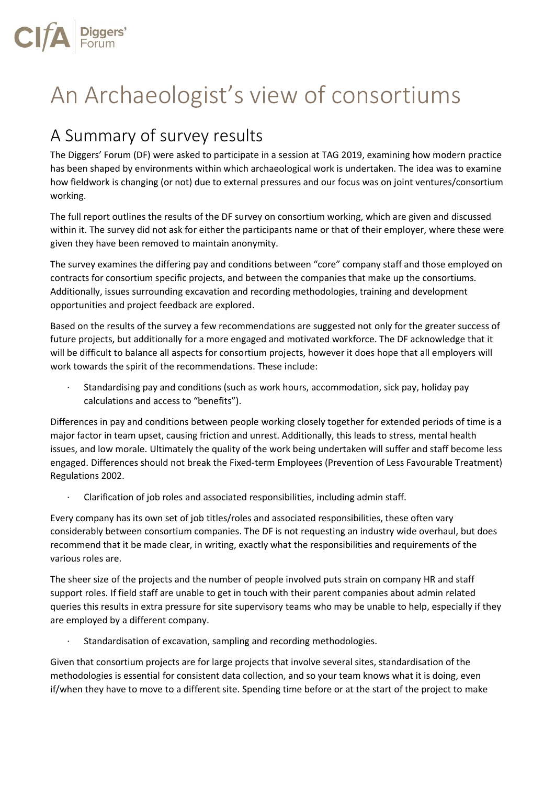

## An Archaeologist's view of consortiums

## A Summary of survey results

The Diggers' Forum (DF) were asked to participate in a session at TAG 2019, examining how modern practice has been shaped by environments within which archaeological work is undertaken. The idea was to examine how fieldwork is changing (or not) due to external pressures and our focus was on joint ventures/consortium working.

The full report outlines the results of the DF survey on consortium working, which are given and discussed within it. The survey did not ask for either the participants name or that of their employer, where these were given they have been removed to maintain anonymity.

The survey examines the differing pay and conditions between "core" company staff and those employed on contracts for consortium specific projects, and between the companies that make up the consortiums. Additionally, issues surrounding excavation and recording methodologies, training and development opportunities and project feedback are explored.

Based on the results of the survey a few recommendations are suggested not only for the greater success of future projects, but additionally for a more engaged and motivated workforce. The DF acknowledge that it will be difficult to balance all aspects for consortium projects, however it does hope that all employers will work towards the spirit of the recommendations. These include:

· Standardising pay and conditions (such as work hours, accommodation, sick pay, holiday pay calculations and access to "benefits").

Differences in pay and conditions between people working closely together for extended periods of time is a major factor in team upset, causing friction and unrest. Additionally, this leads to stress, mental health issues, and low morale. Ultimately the quality of the work being undertaken will suffer and staff become less engaged. Differences should not break the Fixed-term Employees (Prevention of Less Favourable Treatment) Regulations 2002.

· Clarification of job roles and associated responsibilities, including admin staff.

Every company has its own set of job titles/roles and associated responsibilities, these often vary considerably between consortium companies. The DF is not requesting an industry wide overhaul, but does recommend that it be made clear, in writing, exactly what the responsibilities and requirements of the various roles are.

The sheer size of the projects and the number of people involved puts strain on company HR and staff support roles. If field staff are unable to get in touch with their parent companies about admin related queries this results in extra pressure for site supervisory teams who may be unable to help, especially if they are employed by a different company.

Standardisation of excavation, sampling and recording methodologies.

Given that consortium projects are for large projects that involve several sites, standardisation of the methodologies is essential for consistent data collection, and so your team knows what it is doing, even if/when they have to move to a different site. Spending time before or at the start of the project to make